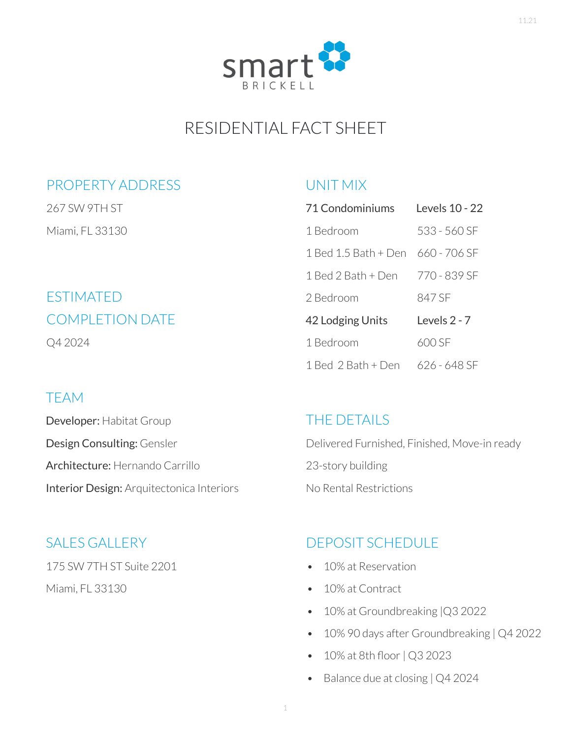

# RESIDENTIAL FACT SHEET

#### PROPERTY ADDRESS

267 SW 9TH ST Miami, FL 33130

## ESTIMATED COMPLETION DATE Q4 2024

#### TEAM

Developer: Habitat Group Design Consulting: Gensler Architecture: Hernando Carrillo Interior Design: Arquitectonica Interiors

#### SALES GALLERY

175 SW 7TH ST Suite 2201

Miami, FL 33130

#### UNIT MIX

| 71 Condominiums      | Levels 10 - 22 |
|----------------------|----------------|
| 1 Bedroom            | 533 - 560 SF   |
| 1 Bed 1.5 Bath + Den | 660 - 706 SF   |
| 1 Bed 2 Bath + Den   | 770 - 839 SF   |
| 2 Bedroom            | 847 SF         |
| 42 Lodging Units     | Levels 2 - 7   |
| 1 Bedroom            | 600 SF         |
| 1 Bed 2 Bath + Den   | 626 - 648 SF   |

#### THE DETAILS

Delivered Furnished, Finished, Move-in ready 23-story building No Rental Restrictions

## DEPOSIT SCHEDULE

- 10% at Reservation
- 10% at Contract
- 10% at Groundbreaking |Q3 2022
- 10% 90 days after Groundbreaking | Q4 2022
- 10% at 8th floor | Q3 2023
- Balance due at closing | Q4 2024